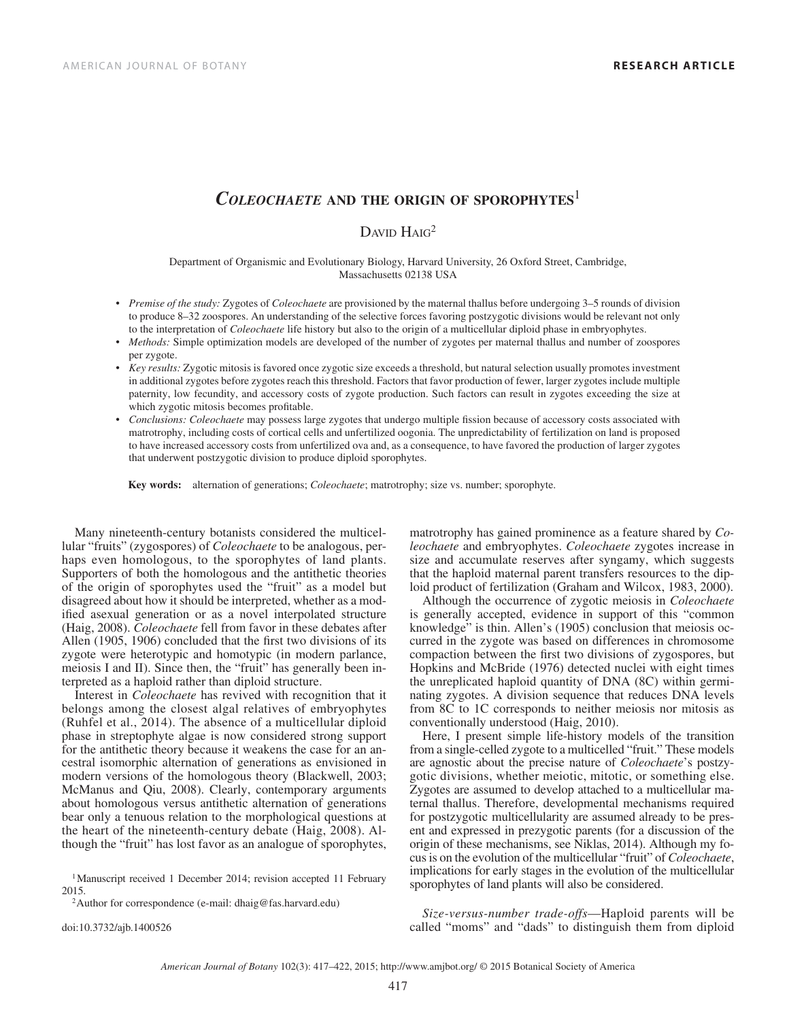## *COLEOCHAETE* **AND THE ORIGIN OF SPOROPHYTES**<sup>1</sup>

## DAVID HAIG<sup>2</sup>

 Department of Organismic and Evolutionary Biology, Harvard University, 26 Oxford Street, Cambridge, Massachusetts 02138 USA

- *Premise of the study:* Zygotes of *Coleochaete* are provisioned by the maternal thallus before undergoing 3–5 rounds of division to produce 8–32 zoospores. An understanding of the selective forces favoring postzygotic divisions would be relevant not only to the interpretation of *Coleochaete* life history but also to the origin of a multicellular diploid phase in embryophytes.
- *Methods:* Simple optimization models are developed of the number of zygotes per maternal thallus and number of zoospores per zygote.
- *Key results:* Zygotic mitosis is favored once zygotic size exceeds a threshold, but natural selection usually promotes investment in additional zygotes before zygotes reach this threshold. Factors that favor production of fewer, larger zygotes include multiple paternity, low fecundity, and accessory costs of zygote production. Such factors can result in zygotes exceeding the size at which zygotic mitosis becomes profitable.
- Conclusions: Coleochaete may possess large zygotes that undergo multiple fission because of accessory costs associated with matrotrophy, including costs of cortical cells and unfertilized oogonia. The unpredictability of fertilization on land is proposed to have increased accessory costs from unfertilized ova and, as a consequence, to have favored the production of larger zygotes that underwent postzygotic division to produce diploid sporophytes.

 **Key words:** alternation of generations; *Coleochaete* ; matrotrophy; size vs. number; sporophyte.

 Many nineteenth-century botanists considered the multicellular "fruits" (zygospores) of *Coleochaete* to be analogous, perhaps even homologous, to the sporophytes of land plants. Supporters of both the homologous and the antithetic theories of the origin of sporophytes used the "fruit" as a model but disagreed about how it should be interpreted, whether as a modified asexual generation or as a novel interpolated structure ( Haig, 2008 ). *Coleochaete* fell from favor in these debates after Allen (1905, 1906) concluded that the first two divisions of its zygote were heterotypic and homotypic (in modern parlance, meiosis I and II). Since then, the "fruit" has generally been interpreted as a haploid rather than diploid structure.

 Interest in *Coleochaete* has revived with recognition that it belongs among the closest algal relatives of embryophytes (Ruhfel et al., 2014). The absence of a multicellular diploid phase in streptophyte algae is now considered strong support for the antithetic theory because it weakens the case for an ancestral isomorphic alternation of generations as envisioned in modern versions of the homologous theory (Blackwell, 2003; McManus and Qiu, 2008). Clearly, contemporary arguments about homologous versus antithetic alternation of generations bear only a tenuous relation to the morphological questions at the heart of the nineteenth-century debate (Haig, 2008). Although the "fruit" has lost favor as an analogue of sporophytes,

<sup>1</sup> Manuscript received 1 December 2014; revision accepted 11 February 2015.

<sup>2</sup> Author for correspondence (e-mail: dhaig@fas.harvard.edu)

doi:10.3732/ajb.1400526

matrotrophy has gained prominence as a feature shared by *Coleochaete* and embryophytes. *Coleochaete* zygotes increase in size and accumulate reserves after syngamy, which suggests that the haploid maternal parent transfers resources to the diploid product of fertilization (Graham and Wilcox, 1983, 2000).

 Although the occurrence of zygotic meiosis in *Coleochaete* is generally accepted, evidence in support of this "common knowledge" is thin. Allen's (1905) conclusion that meiosis occurred in the zygote was based on differences in chromosome compaction between the first two divisions of zygospores, but Hopkins and McBride (1976) detected nuclei with eight times the unreplicated haploid quantity of DNA (8C) within germinating zygotes. A division sequence that reduces DNA levels from 8C to 1C corresponds to neither meiosis nor mitosis as conventionally understood (Haig, 2010).

 Here, I present simple life-history models of the transition from a single-celled zygote to a multicelled "fruit." These models are agnostic about the precise nature of *Coleochaete* 's postzygotic divisions, whether meiotic, mitotic, or something else. Zygotes are assumed to develop attached to a multicellular maternal thallus. Therefore, developmental mechanisms required for postzygotic multicellularity are assumed already to be present and expressed in prezygotic parents (for a discussion of the origin of these mechanisms, see Niklas, 2014 ). Although my focus is on the evolution of the multicellular "fruit" of *Coleochaete* , implications for early stages in the evolution of the multicellular sporophytes of land plants will also be considered.

*Size-versus-number trade-offs*— Haploid parents will be called "moms" and "dads" to distinguish them from diploid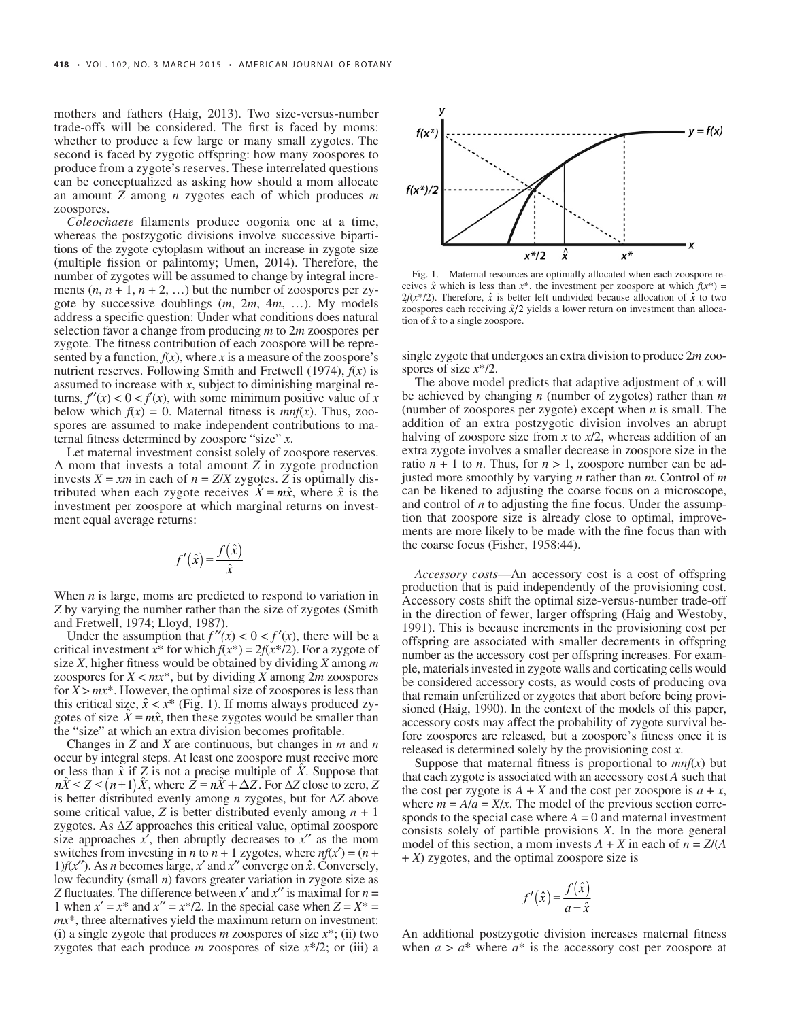mothers and fathers (Haig, 2013). Two size-versus-number trade-offs will be considered. The first is faced by moms: whether to produce a few large or many small zygotes. The second is faced by zygotic offspring: how many zoospores to produce from a zygote's reserves. These interrelated questions can be conceptualized as asking how should a mom allocate an amount *Z* among *n* zygotes each of which produces *m* zoospores.

*Coleochaete* filaments produce oogonia one at a time, whereas the postzygotic divisions involve successive bipartitions of the zygote cytoplasm without an increase in zygote size (multiple fission or palintomy; Umen, 2014). Therefore, the number of zygotes will be assumed to change by integral increments  $(n, n + 1, n + 2, ...)$  but the number of zoospores per zygote by successive doublings  $(m, 2m, 4m, ...)$ . My models address a specific question: Under what conditions does natural selection favor a change from producing *m* to 2*m* zoospores per zygote. The fitness contribution of each zoospore will be represented by a function,  $f(x)$ , where *x* is a measure of the zoospore's nutrient reserves. Following Smith and Fretwell (1974),  $f(x)$  is assumed to increase with  $x$ , subject to diminishing marginal returns,  $f''(x) < 0 < f'(x)$ , with some minimum positive value of x below which  $f(x) = 0$ . Maternal fitness is  $mnf(x)$ . Thus, zoospores are assumed to make independent contributions to maternal fitness determined by zoospore "size"  $x$ .

 Let maternal investment consist solely of zoospore reserves. A mom that invests a total amount *Z* in zygote production invests  $X = xm$  in each of  $n = Z/X$  zygotes. *Z* is optimally distributed when each zygote receives  $\hat{X} = m\hat{x}$ , where  $\hat{x}$  is the investment per zoospore at which marginal returns on investment equal average returns:

$$
f'(\hat{x}) = \frac{f(\hat{x})}{\hat{x}}
$$

When *n* is large, moms are predicted to respond to variation in *Z* by varying the number rather than the size of zygotes (Smith and Fretwell, 1974; Lloyd, 1987).

Under the assumption that  $f''(x) < 0 < f'(x)$ , there will be a critical investment  $x^*$  for which  $f(x^*) = 2f(x^*/2)$ . For a zygote of size *X* , higher fi tness would be obtained by dividing *X* among *m* zoospores for  $X < mx^*$ , but by dividing *X* among  $2m$  zoospores for  $X > mx^*$ . However, the optimal size of zoospores is less than this critical size,  $\hat{x} < x^*$  (Fig. 1). If moms always produced zygotes of size  $\hat{X} = m\hat{x}$ , then these zygotes would be smaller than the "size" at which an extra division becomes profitable.

 Changes in *Z* and *X* are continuous, but changes in *m* and *n* occur by integral steps. At least one zoospore must receive more or less than  $\hat{x}$  if *Z* is not a precise multiple of *X*. Suppose that  $n\hat{X} < Z < (n+1)\overline{\hat{X}}$ , where  $\overline{Z} = n\hat{X} + \Delta Z$ . For  $\Delta Z$  close to zero, *Z* is better distributed evenly among *n* zygotes, but for Δ *Z* above some critical value, *Z* is better distributed evenly among  $n + 1$ zygotes. As Δ *Z* approaches this critical value, optimal zoospore size approaches  $x'$ , then abruptly decreases to  $x''$  as the mom switches from investing in *n* to  $n + 1$  zygotes, where  $nf(x') = (n +$ 1)  $f(x'')$ . As *n* becomes large, x' and x'' converge on  $\hat{x}$ . Conversely, low fecundity (small *n*) favors greater variation in zygote size as *Z* fluctuates. The difference between  $x'$  and  $x''$  is maximal for  $n =$ 1 when  $x' = x^*$  and  $x'' = x^*/2$ . In the special case when  $Z = X^* =$ *mx*<sup>\*</sup>, three alternatives yield the maximum return on investment: (i) a single zygote that produces  $m$  zoospores of size  $x^*$ ; (ii) two zygotes that each produce  $m$  zoospores of size  $x*/2$ ; or (iii) a



 Fig. 1. Maternal resources are optimally allocated when each zoospore receives  $\hat{x}$  which is less than  $x^*$ , the investment per zoospore at which  $f(x^*) =$  $2f(x^*/2)$ . Therefore,  $\hat{x}$  is better left undivided because allocation of  $\hat{x}$  to two zoospores each receiving  $\hat{x}/2$  yields a lower return on investment than allocation of  $\hat{x}$  to a single zoospore.

single zygote that undergoes an extra division to produce 2m zoospores of size *x* \*/2.

 The above model predicts that adaptive adjustment of *x* will be achieved by changing *n* (number of zygotes) rather than *m* (number of zoospores per zygote) except when *n* is small. The addition of an extra postzygotic division involves an abrupt halving of zoospore size from  $x$  to  $x/2$ , whereas addition of an extra zygote involves a smaller decrease in zoospore size in the ratio  $n + 1$  to *n*. Thus, for  $n > 1$ , zoospore number can be adjusted more smoothly by varying *n* rather than *m* . Control of *m* can be likened to adjusting the coarse focus on a microscope, and control of  $n$  to adjusting the fine focus. Under the assumption that zoospore size is already close to optimal, improvements are more likely to be made with the fine focus than with the coarse focus (Fisher, 1958:44).

*Accessory costs*— An accessory cost is a cost of offspring production that is paid independently of the provisioning cost. Accessory costs shift the optimal size-versus-number trade-off in the direction of fewer, larger offspring (Haig and Westoby, 1991). This is because increments in the provisioning cost per offspring are associated with smaller decrements in offspring number as the accessory cost per offspring increases. For example, materials invested in zygote walls and corticating cells would be considered accessory costs, as would costs of producing ova that remain unfertilized or zygotes that abort before being provisioned (Haig, 1990). In the context of the models of this paper, accessory costs may affect the probability of zygote survival before zoospores are released, but a zoospore's fitness once it is released is determined solely by the provisioning cost *x* .

Suppose that maternal fitness is proportional to  $mnf(x)$  but that each zygote is associated with an accessory cost *A* such that the cost per zygote is  $A + X$  and the cost per zoospore is  $a + x$ , where  $m = A/a = X/x$ . The model of the previous section corresponds to the special case where  $A = 0$  and maternal investment consists solely of partible provisions *X*. In the more general model of this section, a mom invests  $A + X$  in each of  $n = Z/(A)$  $+ X$ ) zygotes, and the optimal zoospore size is

$$
f'(\hat{x}) = \frac{f(\hat{x})}{a + \hat{x}}
$$

An additional postzygotic division increases maternal fitness when  $a > a^*$  where  $a^*$  is the accessory cost per zoospore at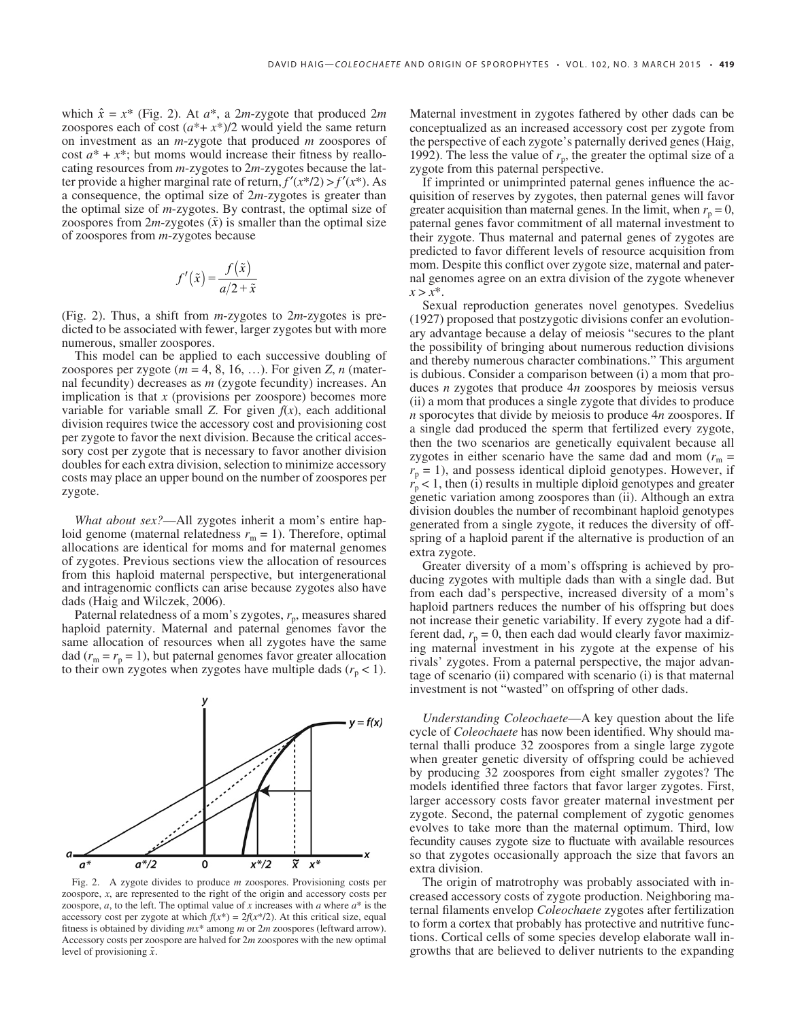which  $\hat{x} = x^*$  (Fig. 2). At  $a^*$ , a 2*m*-zygote that produced 2*m* zoospores each of cost  $(a^* + x^*)/2$  would yield the same return on investment as an *m* -zygote that produced *m* zoospores of cost  $a^* + x^*$ ; but moms would increase their fitness by reallocating resources from *m*-zygotes to 2*m*-zygotes because the latter provide a higher marginal rate of return,  $f'(x^*/2) > f'(x^*)$ . As a consequence, the optimal size of  $2m$ -zygotes is greater than the optimal size of *m* -zygotes. By contrast, the optimal size of zoospores from  $2m$ -zygotes  $(\tilde{x})$  is smaller than the optimal size of zoospores from *m* -zygotes because

$$
f'(\tilde{x}) = \frac{f(\tilde{x})}{a/2 + \tilde{x}}
$$

(Fig. 2). Thus, a shift from  $m$ -zygotes to  $2m$ -zygotes is predicted to be associated with fewer, larger zygotes but with more numerous, smaller zoospores.

 This model can be applied to each successive doubling of zoospores per zygote  $(m = 4, 8, 16, ...)$ . For given *Z*, *n* (maternal fecundity) decreases as *m* (zygote fecundity) increases. An implication is that *x* (provisions per zoospore) becomes more variable for variable small *Z*. For given  $f(x)$ , each additional division requires twice the accessory cost and provisioning cost per zygote to favor the next division. Because the critical accessory cost per zygote that is necessary to favor another division doubles for each extra division, selection to minimize accessory costs may place an upper bound on the number of zoospores per zygote.

*What about sex?*— All zygotes inherit a mom's entire haploid genome (maternal relatedness  $r<sub>m</sub> = 1$ ). Therefore, optimal allocations are identical for moms and for maternal genomes of zygotes. Previous sections view the allocation of resources from this haploid maternal perspective, but intergenerational and intragenomic conflicts can arise because zygotes also have dads (Haig and Wilczek, 2006).

Paternal relatedness of a mom's zygotes,  $r_p$ , measures shared haploid paternity. Maternal and paternal genomes favor the same allocation of resources when all zygotes have the same dad  $(r_m = r_p = 1)$ , but paternal genomes favor greater allocation to their own zygotes when zygotes have multiple dads  $(r_p < 1)$ .



 Fig. 2. A zygote divides to produce *m* zoospores. Provisioning costs per zoospore, *x*, are represented to the right of the origin and accessory costs per zoospore,  $a$ , to the left. The optimal value of  $x$  increases with  $a$  where  $a^*$  is the accessory cost per zygote at which  $f(x^*) = 2f(x^*/2)$ . At this critical size, equal fitness is obtained by dividing  $mx^*$  among *m* or 2*m* zoospores (leftward arrow). Accessory costs per zoospore are halved for 2*m* zoospores with the new optimal level of provisioning  $\tilde{x}$ .

Maternal investment in zygotes fathered by other dads can be conceptualized as an increased accessory cost per zygote from the perspective of each zygote's paternally derived genes ( Haig, 1992). The less the value of  $r_p$ , the greater the optimal size of a zygote from this paternal perspective.

If imprinted or unimprinted paternal genes influence the acquisition of reserves by zygotes, then paternal genes will favor greater acquisition than maternal genes. In the limit, when  $r_p = 0$ , paternal genes favor commitment of all maternal investment to their zygote. Thus maternal and paternal genes of zygotes are predicted to favor different levels of resource acquisition from mom. Despite this conflict over zygote size, maternal and paternal genomes agree on an extra division of the zygote whenever  $x > x^*$ .

 Sexual reproduction generates novel genotypes. Svedelius (1927) proposed that postzygotic divisions confer an evolutionary advantage because a delay of meiosis "secures to the plant the possibility of bringing about numerous reduction divisions and thereby numerous character combinations." This argument is dubious. Consider a comparison between (i) a mom that produces *n* zygotes that produce 4*n* zoospores by meiosis versus (ii) a mom that produces a single zygote that divides to produce *n* sporocytes that divide by meiosis to produce 4*n* zoospores. If a single dad produced the sperm that fertilized every zygote, then the two scenarios are genetically equivalent because all zygotes in either scenario have the same dad and mom ( $r<sub>m</sub>$  =  $r_p = 1$ ), and possess identical diploid genotypes. However, if  $r_p < 1$ , then (i) results in multiple diploid genotypes and greater genetic variation among zoospores than (ii). Although an extra division doubles the number of recombinant haploid genotypes generated from a single zygote, it reduces the diversity of offspring of a haploid parent if the alternative is production of an extra zygote.

 Greater diversity of a mom's offspring is achieved by producing zygotes with multiple dads than with a single dad. But from each dad's perspective, increased diversity of a mom's haploid partners reduces the number of his offspring but does not increase their genetic variability. If every zygote had a different dad,  $r_p = 0$ , then each dad would clearly favor maximizing maternal investment in his zygote at the expense of his rivals' zygotes. From a paternal perspective, the major advantage of scenario (ii) compared with scenario (i) is that maternal investment is not "wasted" on offspring of other dads.

*Understanding Coleochaete*—A key question about the life cycle of *Coleochaete* has now been identified. Why should maternal thalli produce 32 zoospores from a single large zygote when greater genetic diversity of offspring could be achieved by producing 32 zoospores from eight smaller zygotes? The models identified three factors that favor larger zygotes. First, larger accessory costs favor greater maternal investment per zygote. Second, the paternal complement of zygotic genomes evolves to take more than the maternal optimum. Third, low fecundity causes zygote size to fluctuate with available resources so that zygotes occasionally approach the size that favors an extra division.

 The origin of matrotrophy was probably associated with increased accessory costs of zygote production. Neighboring maternal filaments envelop *Coleochaete* zygotes after fertilization to form a cortex that probably has protective and nutritive functions. Cortical cells of some species develop elaborate wall ingrowths that are believed to deliver nutrients to the expanding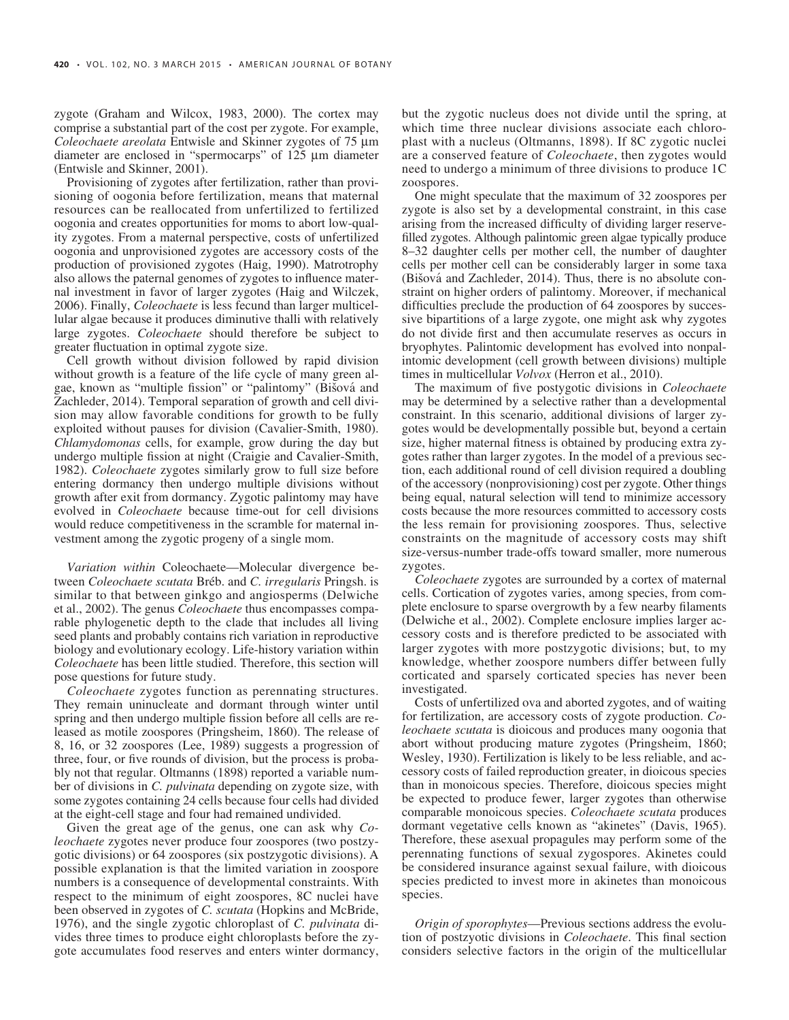zygote (Graham and Wilcox, 1983, 2000). The cortex may comprise a substantial part of the cost per zygote. For example, *Coleochaete areolata* Entwisle and Skinner zygotes of 75 μm diameter are enclosed in "spermocarps" of 125 μm diameter (Entwisle and Skinner, 2001).

 Provisioning of zygotes after fertilization, rather than provisioning of oogonia before fertilization, means that maternal resources can be reallocated from unfertilized to fertilized oogonia and creates opportunities for moms to abort low-quality zygotes. From a maternal perspective, costs of unfertilized oogonia and unprovisioned zygotes are accessory costs of the production of provisioned zygotes (Haig, 1990). Matrotrophy also allows the paternal genomes of zygotes to influence maternal investment in favor of larger zygotes (Haig and Wilczek, 2006 ). Finally, *Coleochaete* is less fecund than larger multicellular algae because it produces diminutive thalli with relatively large zygotes. *Coleochaete* should therefore be subject to greater fluctuation in optimal zygote size.

 Cell growth without division followed by rapid division without growth is a feature of the life cycle of many green algae, known as "multiple fission" or "palintomy" (Bišová and Zachleder, 2014). Temporal separation of growth and cell division may allow favorable conditions for growth to be fully exploited without pauses for division (Cavalier-Smith, 1980). *Chlamydomonas* cells, for example, grow during the day but undergo multiple fission at night (Craigie and Cavalier-Smith, 1982). *Coleochaete* zygotes similarly grow to full size before entering dormancy then undergo multiple divisions without growth after exit from dormancy. Zygotic palintomy may have evolved in *Coleochaete* because time-out for cell divisions would reduce competitiveness in the scramble for maternal investment among the zygotic progeny of a single mom.

*Variation within* Coleochaete— Molecular divergence between *Coleochaete scutata* Bréb. and *C. irregularis* Pringsh. is similar to that between ginkgo and angiosperms (Delwiche et al., 2002 ). The genus *Coleochaete* thus encompasses comparable phylogenetic depth to the clade that includes all living seed plants and probably contains rich variation in reproductive biology and evolutionary ecology. Life-history variation within *Coleochaete* has been little studied. Therefore, this section will pose questions for future study.

*Coleochaete* zygotes function as perennating structures. They remain uninucleate and dormant through winter until spring and then undergo multiple fission before all cells are released as motile zoospores (Pringsheim, 1860). The release of 8, 16, or 32 zoospores (Lee, 1989) suggests a progression of three, four, or five rounds of division, but the process is probably not that regular. Oltmanns (1898) reported a variable number of divisions in *C. pulvinata* depending on zygote size, with some zygotes containing 24 cells because four cells had divided at the eight-cell stage and four had remained undivided.

 Given the great age of the genus, one can ask why *Coleochaete* zygotes never produce four zoospores (two postzygotic divisions) or 64 zoospores (six postzygotic divisions). A possible explanation is that the limited variation in zoospore numbers is a consequence of developmental constraints. With respect to the minimum of eight zoospores, 8C nuclei have been observed in zygotes of *C. scutata* (Hopkins and McBride, 1976 ), and the single zygotic chloroplast of *C. pulvinata* divides three times to produce eight chloroplasts before the zygote accumulates food reserves and enters winter dormancy,

but the zygotic nucleus does not divide until the spring, at which time three nuclear divisions associate each chloroplast with a nucleus (Oltmanns, 1898). If 8C zygotic nuclei are a conserved feature of *Coleochaete* , then zygotes would need to undergo a minimum of three divisions to produce 1C zoospores.

 One might speculate that the maximum of 32 zoospores per zygote is also set by a developmental constraint, in this case arising from the increased difficulty of dividing larger reservefilled zygotes. Although palintomic green algae typically produce 8–32 daughter cells per mother cell, the number of daughter cells per mother cell can be considerably larger in some taxa (Bišová and Zachleder, 2014). Thus, there is no absolute constraint on higher orders of palintomy. Moreover, if mechanical difficulties preclude the production of 64 zoospores by successive bipartitions of a large zygote, one might ask why zygotes do not divide first and then accumulate reserves as occurs in bryophytes. Palintomic development has evolved into nonpalintomic development (cell growth between divisions) multiple times in multicellular *Volvox* (Herron et al., 2010).

The maximum of five postygotic divisions in *Coleochaete* may be determined by a selective rather than a developmental constraint. In this scenario, additional divisions of larger zygotes would be developmentally possible but, beyond a certain size, higher maternal fitness is obtained by producing extra zygotes rather than larger zygotes. In the model of a previous section, each additional round of cell division required a doubling of the accessory (nonprovisioning) cost per zygote. Other things being equal, natural selection will tend to minimize accessory costs because the more resources committed to accessory costs the less remain for provisioning zoospores. Thus, selective constraints on the magnitude of accessory costs may shift size-versus-number trade-offs toward smaller, more numerous zygotes.

*Coleochaete* zygotes are surrounded by a cortex of maternal cells. Cortication of zygotes varies, among species, from complete enclosure to sparse overgrowth by a few nearby filaments ( Delwiche et al., 2002 ). Complete enclosure implies larger accessory costs and is therefore predicted to be associated with larger zygotes with more postzygotic divisions; but, to my knowledge, whether zoospore numbers differ between fully corticated and sparsely corticated species has never been investigated.

 Costs of unfertilized ova and aborted zygotes, and of waiting for fertilization, are accessory costs of zygote production. *Coleochaete scutata* is dioicous and produces many oogonia that abort without producing mature zygotes (Pringsheim, 1860; Wesley, 1930). Fertilization is likely to be less reliable, and accessory costs of failed reproduction greater, in dioicous species than in monoicous species. Therefore, dioicous species might be expected to produce fewer, larger zygotes than otherwise comparable monoicous species. *Coleochaete scutata* produces dormant vegetative cells known as "akinetes" (Davis, 1965). Therefore, these asexual propagules may perform some of the perennating functions of sexual zygospores. Akinetes could be considered insurance against sexual failure, with dioicous species predicted to invest more in akinetes than monoicous species.

*Origin of sporophytes*— Previous sections address the evolution of postzyotic divisions in *Coleochaete*. This final section considers selective factors in the origin of the multicellular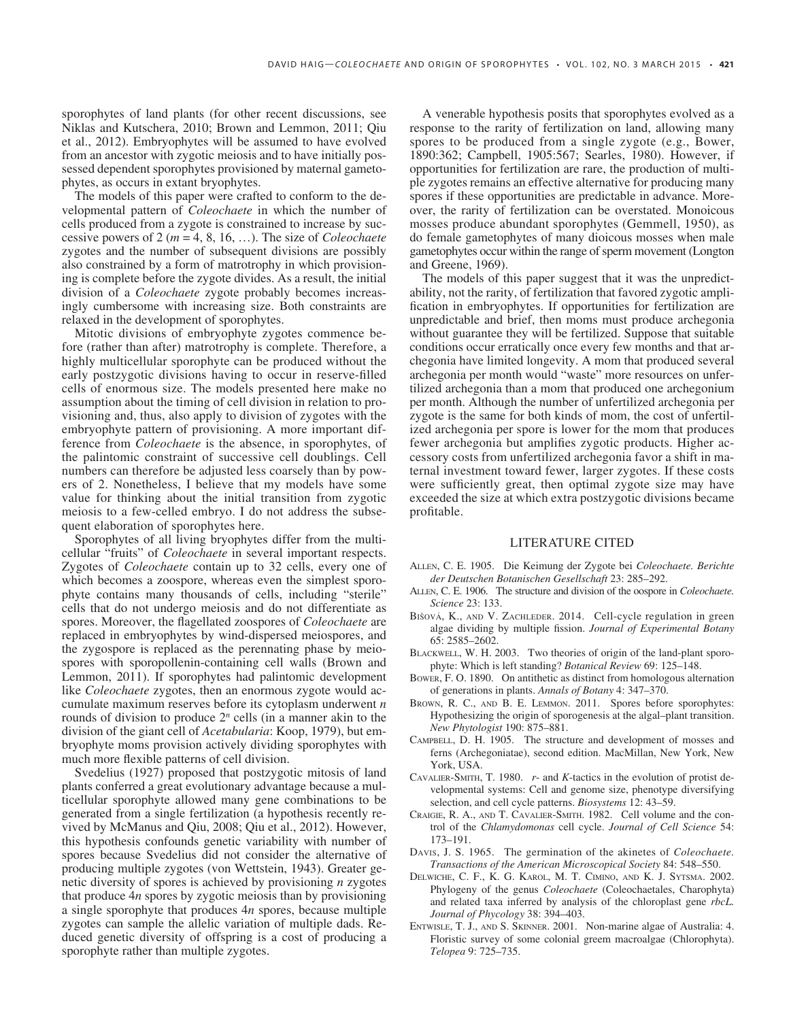sporophytes of land plants (for other recent discussions, see Niklas and Kutschera, 2010; Brown and Lemmon, 2011; Qiu et al., 2012). Embryophytes will be assumed to have evolved from an ancestor with zygotic meiosis and to have initially possessed dependent sporophytes provisioned by maternal gametophytes, as occurs in extant bryophytes.

 The models of this paper were crafted to conform to the developmental pattern of *Coleochaete* in which the number of cells produced from a zygote is constrained to increase by successive powers of 2 ( $m = 4, 8, 16, \ldots$ ). The size of *Coleochaete* zygotes and the number of subsequent divisions are possibly also constrained by a form of matrotrophy in which provisioning is complete before the zygote divides. As a result, the initial division of a *Coleochaete* zygote probably becomes increasingly cumbersome with increasing size. Both constraints are relaxed in the development of sporophytes.

 Mitotic divisions of embryophyte zygotes commence before (rather than after) matrotrophy is complete. Therefore, a highly multicellular sporophyte can be produced without the early postzygotic divisions having to occur in reserve-filled cells of enormous size. The models presented here make no assumption about the timing of cell division in relation to provisioning and, thus, also apply to division of zygotes with the embryophyte pattern of provisioning. A more important difference from *Coleochaete* is the absence, in sporophytes, of the palintomic constraint of successive cell doublings. Cell numbers can therefore be adjusted less coarsely than by powers of 2. Nonetheless, I believe that my models have some value for thinking about the initial transition from zygotic meiosis to a few-celled embryo. I do not address the subsequent elaboration of sporophytes here.

 Sporophytes of all living bryophytes differ from the multicellular "fruits" of *Coleochaete* in several important respects. Zygotes of *Coleochaete* contain up to 32 cells, every one of which becomes a zoospore, whereas even the simplest sporophyte contains many thousands of cells, including "sterile" cells that do not undergo meiosis and do not differentiate as spores. Moreover, the flagellated zoospores of *Coleochaete* are replaced in embryophytes by wind-dispersed meiospores, and the zygospore is replaced as the perennating phase by meiospores with sporopollenin-containing cell walls (Brown and Lemmon, 2011). If sporophytes had palintomic development like *Coleochaete* zygotes, then an enormous zygote would accumulate maximum reserves before its cytoplasm underwent *n* rounds of division to produce  $2<sup>n</sup>$  cells (in a manner akin to the division of the giant cell of *Acetabularia*: Koop, 1979), but embryophyte moms provision actively dividing sporophytes with much more flexible patterns of cell division.

 Svedelius (1927) proposed that postzygotic mitosis of land plants conferred a great evolutionary advantage because a multicellular sporophyte allowed many gene combinations to be generated from a single fertilization (a hypothesis recently revived by McManus and Qiu, 2008; Qiu et al., 2012). However, this hypothesis confounds genetic variability with number of spores because Svedelius did not consider the alternative of producing multiple zygotes ( von Wettstein, 1943 ). Greater genetic diversity of spores is achieved by provisioning *n* zygotes that produce 4*n* spores by zygotic meiosis than by provisioning a single sporophyte that produces 4*n* spores, because multiple zygotes can sample the allelic variation of multiple dads. Reduced genetic diversity of offspring is a cost of producing a sporophyte rather than multiple zygotes.

 A venerable hypothesis posits that sporophytes evolved as a response to the rarity of fertilization on land, allowing many spores to be produced from a single zygote (e.g., Bower, 1890:362; Campbell, 1905:567; Searles, 1980). However, if opportunities for fertilization are rare, the production of multiple zygotes remains an effective alternative for producing many spores if these opportunities are predictable in advance. Moreover, the rarity of fertilization can be overstated. Monoicous mosses produce abundant sporophytes (Gemmell, 1950), as do female gametophytes of many dioicous mosses when male gametophytes occur within the range of sperm movement ( Longton and Greene, 1969).

 The models of this paper suggest that it was the unpredictability, not the rarity, of fertilization that favored zygotic amplification in embryophytes. If opportunities for fertilization are unpredictable and brief, then moms must produce archegonia without guarantee they will be fertilized. Suppose that suitable conditions occur erratically once every few months and that archegonia have limited longevity. A mom that produced several archegonia per month would "waste" more resources on unfertilized archegonia than a mom that produced one archegonium per month. Although the number of unfertilized archegonia per zygote is the same for both kinds of mom, the cost of unfertilized archegonia per spore is lower for the mom that produces fewer archegonia but amplifies zygotic products. Higher accessory costs from unfertilized archegonia favor a shift in maternal investment toward fewer, larger zygotes. If these costs were sufficiently great, then optimal zygote size may have exceeded the size at which extra postzygotic divisions became profitable.

## LITERATURE CITED

- ALLEN , C. E. 1905 . Die Keimung der Zygote bei *Coleochaete. Berichte der Deutschen Botanischen Gesellschaft* 23 : 285 – 292 .
- ALLEN, C. E. 1906. The structure and division of the oospore in *Coleochaete*. *Science* 23: 133.
- BIŠOVÁ, K., AND V. ZACHLEDER. 2014. Cell-cycle regulation in green algae dividing by multiple fission. *Journal of Experimental Botany* 65: 2585-2602.
- BLACKWELL, W. H. 2003. Two theories of origin of the land-plant sporophyte: Which is left standing? *Botanical Review* 69: 125-148.
- BOWER, F. O. 1890. On antithetic as distinct from homologous alternation of generations in plants. *Annals of Botany* 4: 347-370.
- BROWN, R. C., AND B. E. LEMMON. 2011. Spores before sporophytes: Hypothesizing the origin of sporogenesis at the algal–plant transition. *New Phytologist* 190: 875-881.
- CAMPBELL, D. H. 1905. The structure and development of mosses and ferns (Archegoniatae), second edition. MacMillan, New York, New York, USA.
- CAVALIER-SMITH, T. 1980. *r* and *K*-tactics in the evolution of protist developmental systems: Cell and genome size, phenotype diversifying selection, and cell cycle patterns. *Biosystems* 12: 43-59.
- CRAIGIE, R. A., AND T. CAVALIER-SMITH. 1982. Cell volume and the control of the *Chlamydomonas* cell cycle. *Journal of Cell Science* 54 :  $173 - 191$
- DAVIS , J. S. 1965 . The germination of the akinetes of *Coleochaete.* **Transactions of the American Microscopical Society 84: 548-550.**
- DELWICHE, C. F., K. G. KAROL, M. T. CIMINO, AND K. J. SYTSMA. 2002. Phylogeny of the genus *Coleochaete* (Coleochaetales, Charophyta) and related taxa inferred by analysis of the chloroplast gene *rbcL. Journal of Phycology* 38: 394-403.
- ENTWISLE, T. J., AND S. SKINNER. 2001. Non-marine algae of Australia: 4. Floristic survey of some colonial greem macroalgae (Chlorophyta). Telopea 9: 725-735.